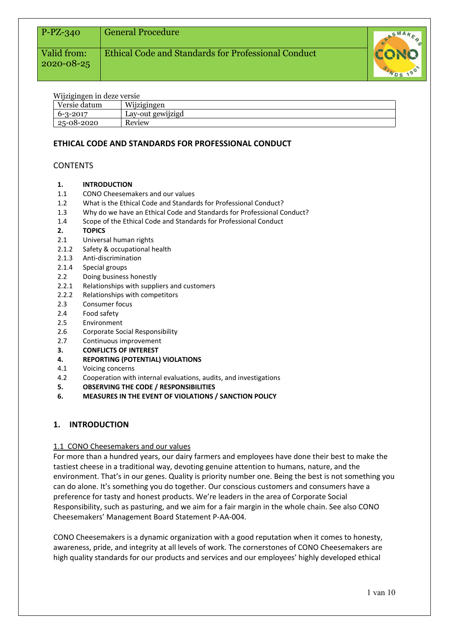#### Wijzigingen in deze versie

| 1.11           |                                     |  |
|----------------|-------------------------------------|--|
| Versie datum   | Wijzigingen                         |  |
| $6 - 3 - 2017$ | $\cdot$ .<br>Lav-out<br>* gewijzigd |  |
| 25-08-2020     | Review                              |  |

## **ETHICAL CODE AND STANDARDS FOR PROFESSIONAL CONDUCT**

#### **CONTENTS**

- **1. INTRODUCTION**
- 1.1 CONO Cheesemakers and our values
- 1.2 What is the Ethical Code and Standards for Professional Conduct?
- 1.3 Why do we have an Ethical Code and Standards for Professional Conduct?
- 1.4 Scope of the Ethical Code and Standards for Professional Conduct
- **2. TOPICS**
- 2.1 Universal human rights
- 2.1.2 Safety & occupational health
- 2.1.3 Anti-discrimination
- 2.1.4 Special groups
- 2.2 Doing business honestly
- 2.2.1 Relationships with suppliers and customers
- 2.2.2 Relationships with competitors
- 2.3 Consumer focus
- 2.4 Food safety
- 2.5 Environment
- 2.6 Corporate Social Responsibility
- 2.7 Continuous improvement
- **3. CONFLICTS OF INTEREST**
- **4. REPORTING (POTENTIAL) VIOLATIONS**
- 4.1 Voicing concerns
- 4.2 Cooperation with internal evaluations, audits, and investigations
- **5. OBSERVING THE CODE / RESPONSIBILITIES**
- **6. MEASURES IN THE EVENT OF VIOLATIONS / SANCTION POLICY**

### **1. INTRODUCTION**

### 1.1 CONO Cheesemakers and our values

For more than a hundred years, our dairy farmers and employees have done their best to make the tastiest cheese in a traditional way, devoting genuine attention to humans, nature, and the environment. That's in our genes. Quality is priority number one. Being the best is not something you can do alone. It's something you do together. Our conscious customers and consumers have a preference for tasty and honest products. We're leaders in the area of Corporate Social Responsibility, such as pasturing, and we aim for a fair margin in the whole chain. See also CONO Cheesemakers' Management Board Statement P-AA-004.

CONO Cheesemakers is a dynamic organization with a good reputation when it comes to honesty, awareness, pride, and integrity at all levels of work. The cornerstones of CONO Cheesemakers are high quality standards for our products and services and our employees' highly developed ethical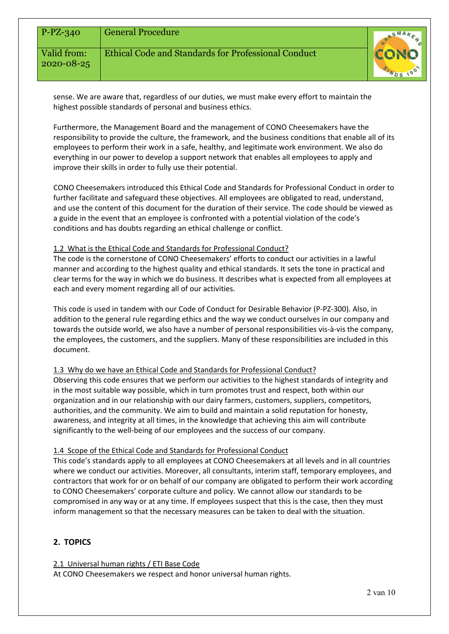| $P-PZ-340$                      | <b>General Procedure</b>                            |  |
|---------------------------------|-----------------------------------------------------|--|
| Valid from:<br>$2020 - 08 - 25$ | Ethical Code and Standards for Professional Conduct |  |

sense. We are aware that, regardless of our duties, we must make every effort to maintain the highest possible standards of personal and business ethics.

Furthermore, the Management Board and the management of CONO Cheesemakers have the responsibility to provide the culture, the framework, and the business conditions that enable all of its employees to perform their work in a safe, healthy, and legitimate work environment. We also do everything in our power to develop a support network that enables all employees to apply and improve their skills in order to fully use their potential.

CONO Cheesemakers introduced this Ethical Code and Standards for Professional Conduct in order to further facilitate and safeguard these objectives. All employees are obligated to read, understand, and use the content of this document for the duration of their service. The code should be viewed as a guide in the event that an employee is confronted with a potential violation of the code's conditions and has doubts regarding an ethical challenge or conflict.

## 1.2 What is the Ethical Code and Standards for Professional Conduct?

The code is the cornerstone of CONO Cheesemakers' efforts to conduct our activities in a lawful manner and according to the highest quality and ethical standards. It sets the tone in practical and clear terms for the way in which we do business. It describes what is expected from all employees at each and every moment regarding all of our activities.

This code is used in tandem with our Code of Conduct for Desirable Behavior (P-PZ-300). Also, in addition to the general rule regarding ethics and the way we conduct ourselves in our company and towards the outside world, we also have a number of personal responsibilities vis-à-vis the company, the employees, the customers, and the suppliers. Many of these responsibilities are included in this document.

## 1.3 Why do we have an Ethical Code and Standards for Professional Conduct?

Observing this code ensures that we perform our activities to the highest standards of integrity and in the most suitable way possible, which in turn promotes trust and respect, both within our organization and in our relationship with our dairy farmers, customers, suppliers, competitors, authorities, and the community. We aim to build and maintain a solid reputation for honesty, awareness, and integrity at all times, in the knowledge that achieving this aim will contribute significantly to the well-being of our employees and the success of our company.

### 1.4 Scope of the Ethical Code and Standards for Professional Conduct

This code's standards apply to all employees at CONO Cheesemakers at all levels and in all countries where we conduct our activities. Moreover, all consultants, interim staff, temporary employees, and contractors that work for or on behalf of our company are obligated to perform their work according to CONO Cheesemakers' corporate culture and policy. We cannot allow our standards to be compromised in any way or at any time. If employees suspect that this is the case, then they must inform management so that the necessary measures can be taken to deal with the situation.

# **2. TOPICS**

2.1 Universal human rights / ETI Base Code

At CONO Cheesemakers we respect and honor universal human rights.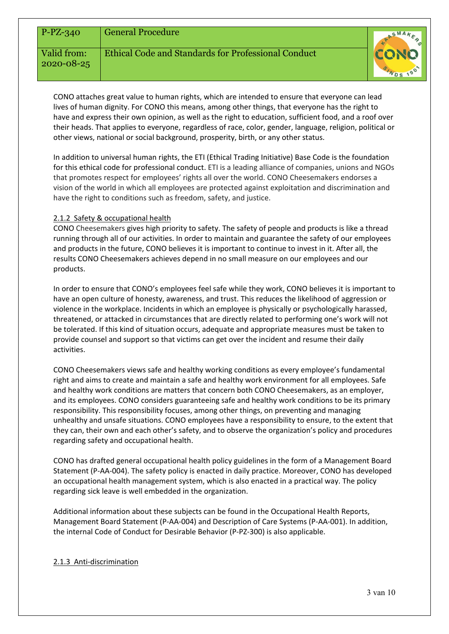| $\overline{P-PZ-340}$           | <b>General Procedure</b>                            |  |
|---------------------------------|-----------------------------------------------------|--|
| Valid from:<br>$2020 - 08 - 25$ | Ethical Code and Standards for Professional Conduct |  |

CONO attaches great value to human rights, which are intended to ensure that everyone can lead lives of human dignity. For CONO this means, among other things, that everyone has the right to have and express their own opinion, as well as the right to education, sufficient food, and a roof over their heads. That applies to everyone, regardless of race, color, gender, language, religion, political or other views, national or social background, prosperity, birth, or any other status.

In addition to universal human rights, the ETI (Ethical Trading Initiative) Base Code is the foundation for this ethical code for professional conduct. ETI is a leading alliance of companies, unions and NGOs that promotes respect for employees' rights all over the world. CONO Cheesemakers endorses a vision of the world in which all employees are protected against exploitation and discrimination and have the right to conditions such as freedom, safety, and justice.

## 2.1.2 Safety & occupational health

CONO Cheesemakers gives high priority to safety. The safety of people and products is like a thread running through all of our activities. In order to maintain and guarantee the safety of our employees and products in the future, CONO believes it is important to continue to invest in it. After all, the results CONO Cheesemakers achieves depend in no small measure on our employees and our products.

In order to ensure that CONO's employees feel safe while they work, CONO believes it is important to have an open culture of honesty, awareness, and trust. This reduces the likelihood of aggression or violence in the workplace. Incidents in which an employee is physically or psychologically harassed, threatened, or attacked in circumstances that are directly related to performing one's work will not be tolerated. If this kind of situation occurs, adequate and appropriate measures must be taken to provide counsel and support so that victims can get over the incident and resume their daily activities.

CONO Cheesemakers views safe and healthy working conditions as every employee's fundamental right and aims to create and maintain a safe and healthy work environment for all employees. Safe and healthy work conditions are matters that concern both CONO Cheesemakers, as an employer, and its employees. CONO considers guaranteeing safe and healthy work conditions to be its primary responsibility. This responsibility focuses, among other things, on preventing and managing unhealthy and unsafe situations. CONO employees have a responsibility to ensure, to the extent that they can, their own and each other's safety, and to observe the organization's policy and procedures regarding safety and occupational health.

CONO has drafted general occupational health policy guidelines in the form of a Management Board Statement (P-AA-004). The safety policy is enacted in daily practice. Moreover, CONO has developed an occupational health management system, which is also enacted in a practical way. The policy regarding sick leave is well embedded in the organization.

Additional information about these subjects can be found in the Occupational Health Reports, Management Board Statement (P-AA-004) and Description of Care Systems (P-AA-001). In addition, the internal Code of Conduct for Desirable Behavior (P-PZ-300) is also applicable.

## 2.1.3 Anti-discrimination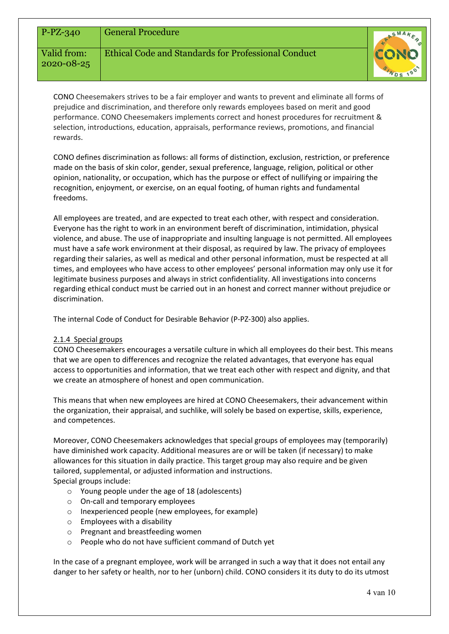| $P-PZ-340$                      | <b>General Procedure</b>                            |  |
|---------------------------------|-----------------------------------------------------|--|
| Valid from:<br>$2020 - 08 - 25$ | Ethical Code and Standards for Professional Conduct |  |

CONO Cheesemakers strives to be a fair employer and wants to prevent and eliminate all forms of prejudice and discrimination, and therefore only rewards employees based on merit and good performance. CONO Cheesemakers implements correct and honest procedures for recruitment & selection, introductions, education, appraisals, performance reviews, promotions, and financial rewards.

CONO defines discrimination as follows: all forms of distinction, exclusion, restriction, or preference made on the basis of skin color, gender, sexual preference, language, religion, political or other opinion, nationality, or occupation, which has the purpose or effect of nullifying or impairing the recognition, enjoyment, or exercise, on an equal footing, of human rights and fundamental freedoms.

All employees are treated, and are expected to treat each other, with respect and consideration. Everyone has the right to work in an environment bereft of discrimination, intimidation, physical violence, and abuse. The use of inappropriate and insulting language is not permitted. All employees must have a safe work environment at their disposal, as required by law. The privacy of employees regarding their salaries, as well as medical and other personal information, must be respected at all times, and employees who have access to other employees' personal information may only use it for legitimate business purposes and always in strict confidentiality. All investigations into concerns regarding ethical conduct must be carried out in an honest and correct manner without prejudice or discrimination.

The internal Code of Conduct for Desirable Behavior (P-PZ-300) also applies.

### 2.1.4 Special groups

CONO Cheesemakers encourages a versatile culture in which all employees do their best. This means that we are open to differences and recognize the related advantages, that everyone has equal access to opportunities and information, that we treat each other with respect and dignity, and that we create an atmosphere of honest and open communication.

This means that when new employees are hired at CONO Cheesemakers, their advancement within the organization, their appraisal, and suchlike, will solely be based on expertise, skills, experience, and competences.

Moreover, CONO Cheesemakers acknowledges that special groups of employees may (temporarily) have diminished work capacity. Additional measures are or will be taken (if necessary) to make allowances for this situation in daily practice. This target group may also require and be given tailored, supplemental, or adjusted information and instructions.

Special groups include:

- o Young people under the age of 18 (adolescents)
- o On-call and temporary employees
- o Inexperienced people (new employees, for example)
- o Employees with a disability
- o Pregnant and breastfeeding women
- o People who do not have sufficient command of Dutch yet

In the case of a pregnant employee, work will be arranged in such a way that it does not entail any danger to her safety or health, nor to her (unborn) child. CONO considers it its duty to do its utmost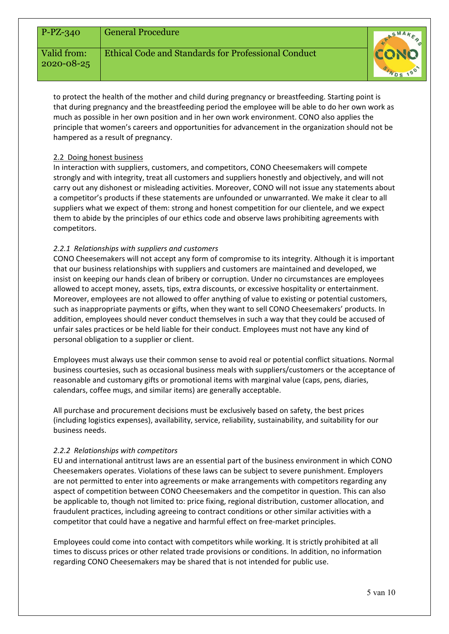| $P-PZ-340$                      | <b>General Procedure</b>                            |  |
|---------------------------------|-----------------------------------------------------|--|
| Valid from:<br>$2020 - 08 - 25$ | Ethical Code and Standards for Professional Conduct |  |

to protect the health of the mother and child during pregnancy or breastfeeding. Starting point is that during pregnancy and the breastfeeding period the employee will be able to do her own work as much as possible in her own position and in her own work environment. CONO also applies the principle that women's careers and opportunities for advancement in the organization should not be hampered as a result of pregnancy.

## 2.2 Doing honest business

In interaction with suppliers, customers, and competitors, CONO Cheesemakers will compete strongly and with integrity, treat all customers and suppliers honestly and objectively, and will not carry out any dishonest or misleading activities. Moreover, CONO will not issue any statements about a competitor's products if these statements are unfounded or unwarranted. We make it clear to all suppliers what we expect of them: strong and honest competition for our clientele, and we expect them to abide by the principles of our ethics code and observe laws prohibiting agreements with competitors.

## *2.2.1 Relationships with suppliers and customers*

CONO Cheesemakers will not accept any form of compromise to its integrity. Although it is important that our business relationships with suppliers and customers are maintained and developed, we insist on keeping our hands clean of bribery or corruption. Under no circumstances are employees allowed to accept money, assets, tips, extra discounts, or excessive hospitality or entertainment. Moreover, employees are not allowed to offer anything of value to existing or potential customers, such as inappropriate payments or gifts, when they want to sell CONO Cheesemakers' products. In addition, employees should never conduct themselves in such a way that they could be accused of unfair sales practices or be held liable for their conduct. Employees must not have any kind of personal obligation to a supplier or client.

Employees must always use their common sense to avoid real or potential conflict situations. Normal business courtesies, such as occasional business meals with suppliers/customers or the acceptance of reasonable and customary gifts or promotional items with marginal value (caps, pens, diaries, calendars, coffee mugs, and similar items) are generally acceptable.

All purchase and procurement decisions must be exclusively based on safety, the best prices (including logistics expenses), availability, service, reliability, sustainability, and suitability for our business needs.

### *2.2.2 Relationships with competitors*

EU and international antitrust laws are an essential part of the business environment in which CONO Cheesemakers operates. Violations of these laws can be subject to severe punishment. Employers are not permitted to enter into agreements or make arrangements with competitors regarding any aspect of competition between CONO Cheesemakers and the competitor in question. This can also be applicable to, though not limited to: price fixing, regional distribution, customer allocation, and fraudulent practices, including agreeing to contract conditions or other similar activities with a competitor that could have a negative and harmful effect on free-market principles.

Employees could come into contact with competitors while working. It is strictly prohibited at all times to discuss prices or other related trade provisions or conditions. In addition, no information regarding CONO Cheesemakers may be shared that is not intended for public use.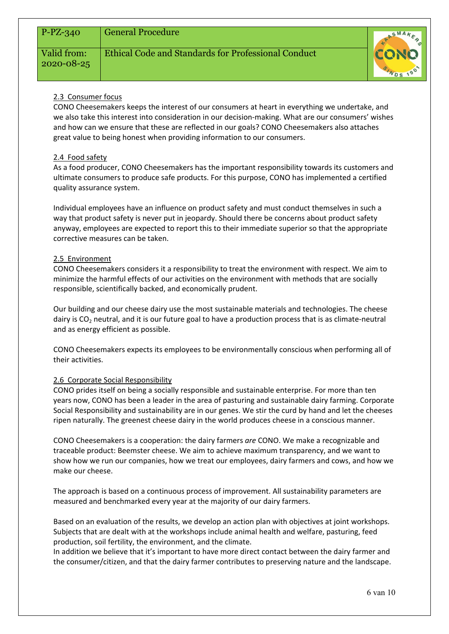| $P-PZ-340$                      | <b>General Procedure</b>                            |      |
|---------------------------------|-----------------------------------------------------|------|
| Valid from:<br>$2020 - 08 - 25$ | Ethical Code and Standards for Professional Conduct | CONO |

## 2.3 Consumer focus

CONO Cheesemakers keeps the interest of our consumers at heart in everything we undertake, and we also take this interest into consideration in our decision-making. What are our consumers' wishes and how can we ensure that these are reflected in our goals? CONO Cheesemakers also attaches great value to being honest when providing information to our consumers.

## 2.4 Food safety

As a food producer, CONO Cheesemakers has the important responsibility towards its customers and ultimate consumers to produce safe products. For this purpose, CONO has implemented a certified quality assurance system.

Individual employees have an influence on product safety and must conduct themselves in such a way that product safety is never put in jeopardy. Should there be concerns about product safety anyway, employees are expected to report this to their immediate superior so that the appropriate corrective measures can be taken.

## 2.5 Environment

CONO Cheesemakers considers it a responsibility to treat the environment with respect. We aim to minimize the harmful effects of our activities on the environment with methods that are socially responsible, scientifically backed, and economically prudent.

Our building and our cheese dairy use the most sustainable materials and technologies. The cheese dairy is  $CO<sub>2</sub>$  neutral, and it is our future goal to have a production process that is as climate-neutral and as energy efficient as possible.

CONO Cheesemakers expects its employees to be environmentally conscious when performing all of their activities.

### 2.6 Corporate Social Responsibility

CONO prides itself on being a socially responsible and sustainable enterprise. For more than ten years now, CONO has been a leader in the area of pasturing and sustainable dairy farming. Corporate Social Responsibility and sustainability are in our genes. We stir the curd by hand and let the cheeses ripen naturally. The greenest cheese dairy in the world produces cheese in a conscious manner.

CONO Cheesemakers is a cooperation: the dairy farmers *are* CONO. We make a recognizable and traceable product: Beemster cheese. We aim to achieve maximum transparency, and we want to show how we run our companies, how we treat our employees, dairy farmers and cows, and how we make our cheese.

The approach is based on a continuous process of improvement. All sustainability parameters are measured and benchmarked every year at the majority of our dairy farmers.

Based on an evaluation of the results, we develop an action plan with objectives at joint workshops. Subjects that are dealt with at the workshops include animal health and welfare, pasturing, feed production, soil fertility, the environment, and the climate.

In addition we believe that it's important to have more direct contact between the dairy farmer and the consumer/citizen, and that the dairy farmer contributes to preserving nature and the landscape.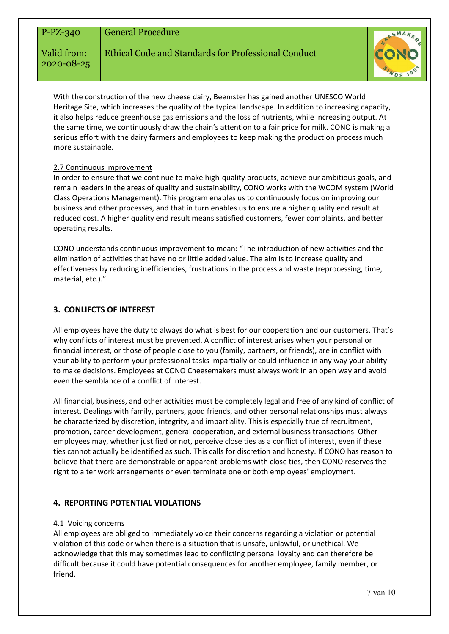| $\overline{P-PZ-340}$           | <b>General Procedure</b>                            |  |
|---------------------------------|-----------------------------------------------------|--|
| Valid from:<br>$2020 - 08 - 25$ | Ethical Code and Standards for Professional Conduct |  |

With the construction of the new cheese dairy, Beemster has gained another UNESCO World Heritage Site, which increases the quality of the typical landscape. In addition to increasing capacity, it also helps reduce greenhouse gas emissions and the loss of nutrients, while increasing output. At the same time, we continuously draw the chain's attention to a fair price for milk. CONO is making a serious effort with the dairy farmers and employees to keep making the production process much more sustainable.

## 2.7 Continuous improvement

In order to ensure that we continue to make high-quality products, achieve our ambitious goals, and remain leaders in the areas of quality and sustainability, CONO works with the WCOM system (World Class Operations Management). This program enables us to continuously focus on improving our business and other processes, and that in turn enables us to ensure a higher quality end result at reduced cost. A higher quality end result means satisfied customers, fewer complaints, and better operating results.

CONO understands continuous improvement to mean: "The introduction of new activities and the elimination of activities that have no or little added value. The aim is to increase quality and effectiveness by reducing inefficiencies, frustrations in the process and waste (reprocessing, time, material, etc.)."

## **3. CONLIFCTS OF INTEREST**

All employees have the duty to always do what is best for our cooperation and our customers. That's why conflicts of interest must be prevented. A conflict of interest arises when your personal or financial interest, or those of people close to you (family, partners, or friends), are in conflict with your ability to perform your professional tasks impartially or could influence in any way your ability to make decisions. Employees at CONO Cheesemakers must always work in an open way and avoid even the semblance of a conflict of interest.

All financial, business, and other activities must be completely legal and free of any kind of conflict of interest. Dealings with family, partners, good friends, and other personal relationships must always be characterized by discretion, integrity, and impartiality. This is especially true of recruitment, promotion, career development, general cooperation, and external business transactions. Other employees may, whether justified or not, perceive close ties as a conflict of interest, even if these ties cannot actually be identified as such. This calls for discretion and honesty. If CONO has reason to believe that there are demonstrable or apparent problems with close ties, then CONO reserves the right to alter work arrangements or even terminate one or both employees' employment.

### **4. REPORTING POTENTIAL VIOLATIONS**

#### 4.1 Voicing concerns

All employees are obliged to immediately voice their concerns regarding a violation or potential violation of this code or when there is a situation that is unsafe, unlawful, or unethical. We acknowledge that this may sometimes lead to conflicting personal loyalty and can therefore be difficult because it could have potential consequences for another employee, family member, or friend.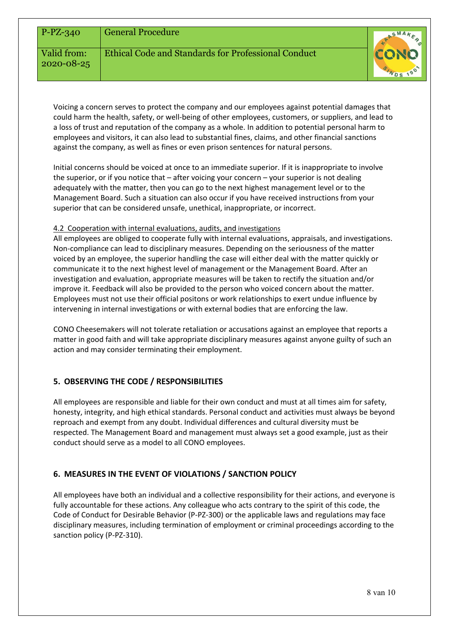| $\overline{P-PZ-340}$            | <b>General Procedure</b>                            |  |
|----------------------------------|-----------------------------------------------------|--|
| Valid from:/<br>$2020 - 08 - 25$ | Ethical Code and Standards for Professional Conduct |  |

Voicing a concern serves to protect the company and our employees against potential damages that could harm the health, safety, or well-being of other employees, customers, or suppliers, and lead to a loss of trust and reputation of the company as a whole. In addition to potential personal harm to employees and visitors, it can also lead to substantial fines, claims, and other financial sanctions against the company, as well as fines or even prison sentences for natural persons.

Initial concerns should be voiced at once to an immediate superior. If it is inappropriate to involve the superior, or if you notice that – after voicing your concern – your superior is not dealing adequately with the matter, then you can go to the next highest management level or to the Management Board. Such a situation can also occur if you have received instructions from your superior that can be considered unsafe, unethical, inappropriate, or incorrect.

### 4.2 Cooperation with internal evaluations, audits, and investigations

All employees are obliged to cooperate fully with internal evaluations, appraisals, and investigations. Non-compliance can lead to disciplinary measures. Depending on the seriousness of the matter voiced by an employee, the superior handling the case will either deal with the matter quickly or communicate it to the next highest level of management or the Management Board. After an investigation and evaluation, appropriate measures will be taken to rectify the situation and/or improve it. Feedback will also be provided to the person who voiced concern about the matter. Employees must not use their official positons or work relationships to exert undue influence by intervening in internal investigations or with external bodies that are enforcing the law.

CONO Cheesemakers will not tolerate retaliation or accusations against an employee that reports a matter in good faith and will take appropriate disciplinary measures against anyone guilty of such an action and may consider terminating their employment.

# **5. OBSERVING THE CODE / RESPONSIBILITIES**

All employees are responsible and liable for their own conduct and must at all times aim for safety, honesty, integrity, and high ethical standards. Personal conduct and activities must always be beyond reproach and exempt from any doubt. Individual differences and cultural diversity must be respected. The Management Board and management must always set a good example, just as their conduct should serve as a model to all CONO employees.

# **6. MEASURES IN THE EVENT OF VIOLATIONS / SANCTION POLICY**

All employees have both an individual and a collective responsibility for their actions, and everyone is fully accountable for these actions. Any colleague who acts contrary to the spirit of this code, the Code of Conduct for Desirable Behavior (P-PZ-300) or the applicable laws and regulations may face disciplinary measures, including termination of employment or criminal proceedings according to the sanction policy (P-PZ-310).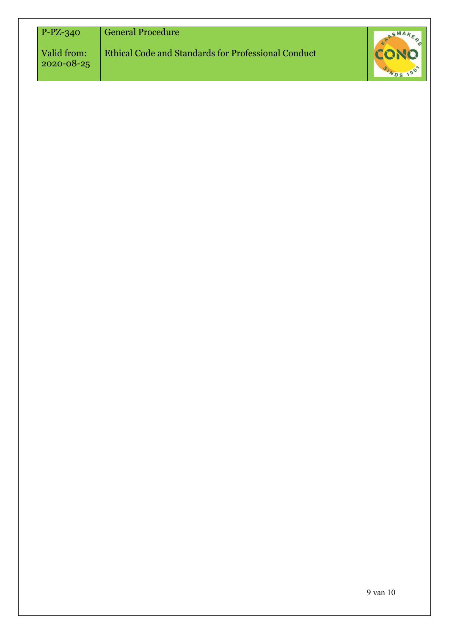| $P-PZ-340$                      | <b>General Procedure</b>                            |  |
|---------------------------------|-----------------------------------------------------|--|
| Valid from:<br>$2020 - 08 - 25$ | Ethical Code and Standards for Professional Conduct |  |